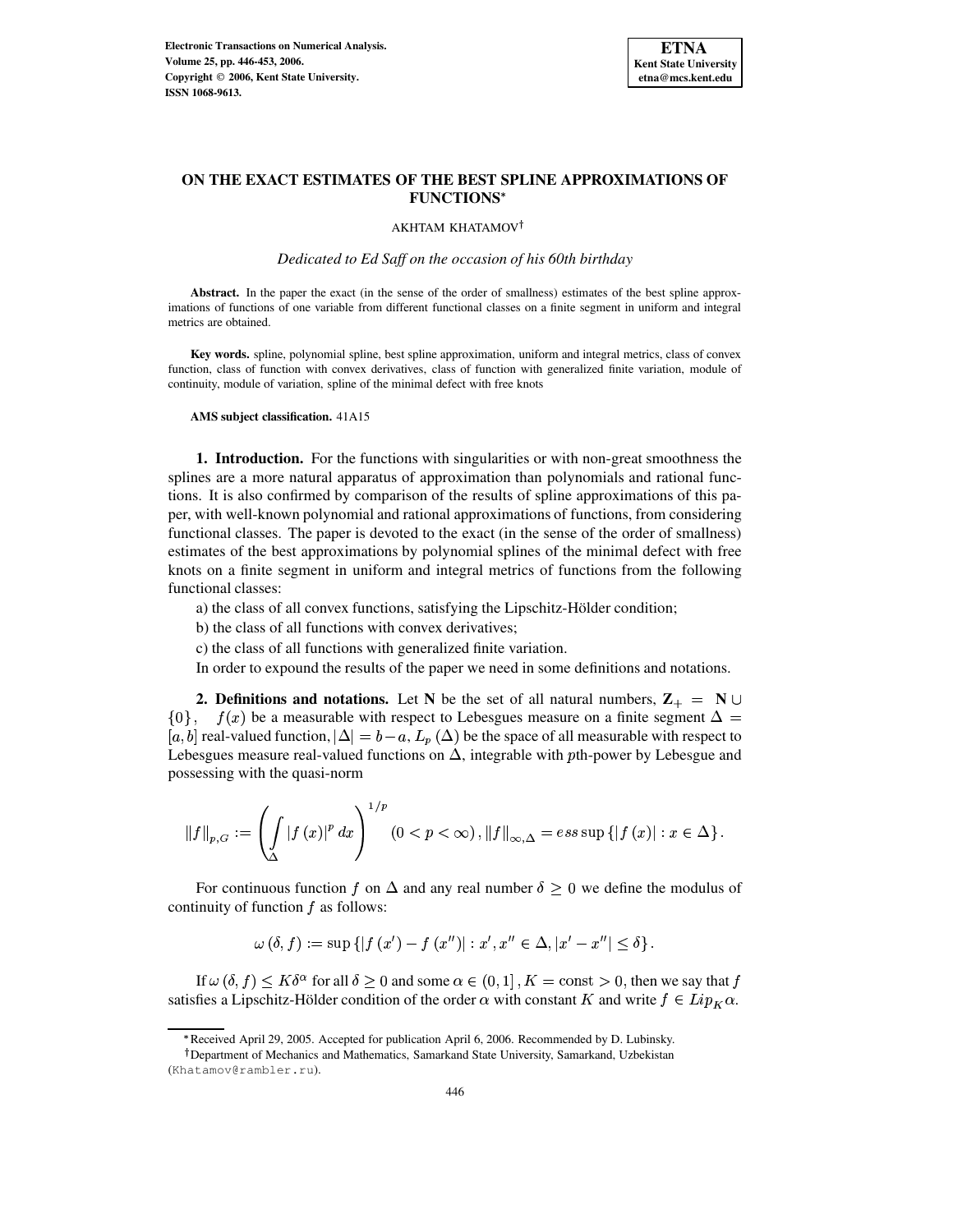

# **ON THE EXACT ESTIMATES OF THE BEST SPLINE APPROXIMATIONS OF FUNCTIONS**

AKHTAM KHATAMOV

*Dedicated to Ed Saff on the occasion of his 60th birthday*

**Abstract.** In the paper the exact (in the sense of the order of smallness) estimates of the best spline approximations of functions of one variable from different functional classes on a finite segment in uniform and integral metrics are obtained.

**Key words.** spline, polynomial spline, best spline approximation, uniform and integral metrics, class of convex function, class of function with convex derivatives, class of function with generalized finite variation, module of continuity, module of variation, spline of the minimal defect with free knots

**AMS subject classification.** 41A15

**1. Introduction.** For the functions with singularities or with non-great smoothness the splines are a more natural apparatus of approximation than polynomials and rational functions. It is also confirmed by comparison of the results of spline approximations of this paper, with well-known polynomial and rational approximations of functions, from considering functional classes. The paper is devoted to the exact (in the sense of the order of smallness) estimates of the best approximations by polynomial splines of the minimal defect with free knots on a finite segment in uniform and integral metrics of functions from the following functional classes:

a) the class of all convex functions, satisfying the Lipschitz-Hölder condition;

b) the class of all functions with convex derivatives;

c) the class of all functions with generalized finite variation.

In order to expound the results of the paper we need in some definitions and notations.

**2. Definitions and notations.** Let N be the set of all natural numbers,  $\mathbf{Z}_+ = \mathbf{N} \cup \mathbf{Z}_+$  $\{0\}$ ,  $f(x)$  be a measurable with respect to Lebesgues measure on a finite segment  $\Delta =$  $[a, b]$  real-valued function,  $|\Delta| = b - a$ ,  $L_p(\Delta)$  be the space of all measurable with respect to Lebesgues measure real-valued functions on  $\Delta$ , integrable with *-power by Lebesgue and* possessing with the quasi-norm

$$
\left\|f\right\|_{p,G}:=\left(\int\limits_{\Delta}\left|f\left(x\right)\right|^{p}dx\right)^{1/p}\left(0
$$

For continuous function f on  $\Delta$  and any real number  $\delta \geq 0$  we define the modulus of continuity of function  $f$  as follows:

$$
\omega\left(\delta,f\right):=\sup\left\{ \left|f\left(x^{\prime}\right)-f\left(x^{\prime\prime}\right)\right|:x^{\prime},x^{\prime\prime}\in\Delta,\left|x^{\prime}-x^{\prime\prime}\right|\leq\delta\right\} .
$$

If  $\omega(\delta, f) \leq K\delta^{\alpha}$  for all  $\delta \geq 0$  and some  $\alpha \in (0, 1]$  ,  $K = \text{const} > 0$ , then we say that  $f$ satisfies a Lipschitz-Hölder condition of the order  $\alpha$  with constant K and write  $f \in Lip_K \alpha$ .

<sup>v</sup> Received April 29, 2005. Accepted for publication April 6, 2006. Recommended by D. Lubinsky.

Department of Mechanics and Mathematics, Samarkand State University, Samarkand, Uzbekistan (Khatamov@rambler.ru).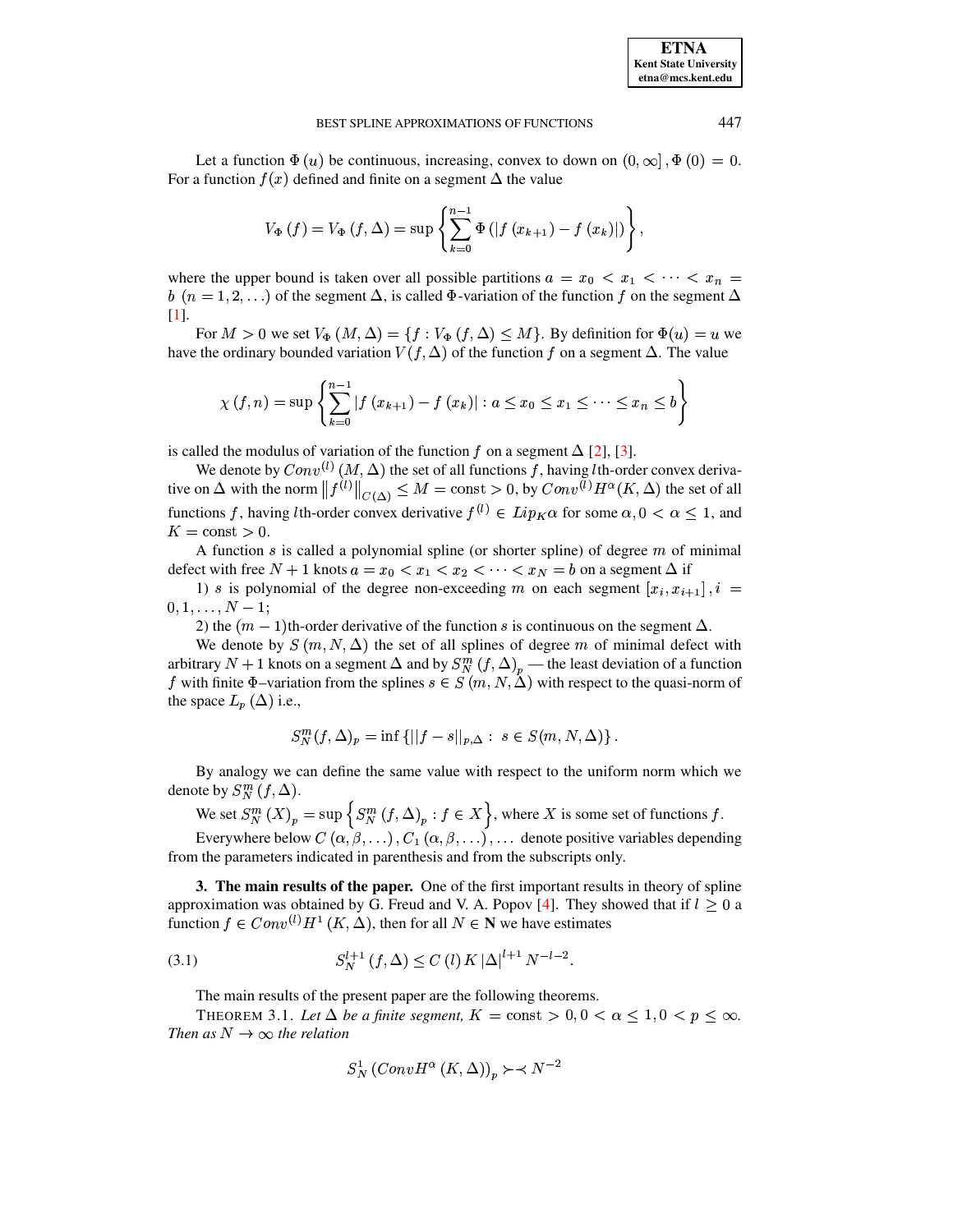Let a function  $\Phi(u)$  be continuous, increasing, convex to down on  $(0, \infty]$ ,  $\Phi(0) = 0$ . For a function  $f(x)$  defined and finite on a segment  $\Delta$  the value

$$
V_{\Phi}(f) = V_{\Phi}(f, \Delta) = \sup \left\{ \sum_{k=0}^{n-1} \Phi(|f(x_{k+1}) - f(x_k)|) \right\},\,
$$

where the upper bound is taken over all possible partitions  $a = x_0 < x_1 < \cdots < x_n =$ <br>  $b \ (n = 1, 2, \ldots)$  of the segment  $\Delta$ , is called  $\Phi$ -variation of the function f on the segment  $\Delta$  $b$   $(n = 1, 2, ...)$  of the segment  $\Delta$ , is called  $\Phi$ -variation of the function  $f$  on the segment  $\Delta$ [\[1\]](#page-6-0).

For  $M > 0$  we set  $V_{\Phi}(M, \Delta) = \{f : V_{\Phi}(f, \Delta) \leq M\}$ . By definition for  $\Phi(u) = u$  we have the ordinary bounded variation  $V(f, \Delta)$  of the function f on a segment  $\Delta$ . The value

$$
\chi(f, n) = \sup \left\{ \sum_{k=0}^{n-1} |f(x_{k+1}) - f(x_k)| : a \le x_0 \le x_1 \le \dots \le x_n \le b \right\}
$$

is called the modulus of variation of the function f on a segment  $\Delta$  [\[2\]](#page-6-1), [\[3\]](#page-6-2).

We denote by  $Conv^{(l)}(M, \Delta)$  the set of all functions f, having lth-order convex derivative on  $\Delta$  with the norm  $||f^{(l)}||_{C(\Delta)} \leq M = \text{const} > 0$ , by  $Conv^{(l)} H^{\alpha}(K, \Delta)$  the set of all functions f, having lth-order convex derivative  $f^{(l)} \in Lip_{K} \alpha$  for some  $\alpha, 0 < \alpha \leq 1$ , and  $K = \text{const} > 0.$ 

A function  $s$  is called a polynomial spline (or shorter spline) of degree  $m$  of minimal defect with free  $N + 1$  knots  $a = x_0 < x_1 < x_2 < \cdots < x_N = b$  on a segment  $\Delta$  if<br>
(b) s is not promise to the degree non-exceeding m on each segment  $[x_i, x_{i+1}]$ ,  $i =$ 

1) s is polynomial of the degree non-exceeding m on each segment  $[x_i, x_{i+1}]$ ,  $i =$  $0,1,\ldots,N-1;$ 

2) the  $(m-1)$ th-order derivative of the function s is continuous on the segment  $\Delta$ .

We denote by  $S(m, N, \Delta)$  the set of all splines of degree m of minimal defect with arbitrary  $N + 1$  knots on a segment  $\Delta$  and by  $S_N^m(f, \Delta)_p$  — the least deviation of a function f with finite  $\Phi$ –variation from the splines  $s \in S(m, N, \Delta)$  with respect to the quasi-norm of the space  $L_p(\Delta)$  i.e.,

$$
S_N^m(f,\Delta)_p=\inf\left\{\|f-s\|_{p,\Delta}:\ s\in S(m,N,\Delta)\right\}.
$$

By analogy we can define the same value with respect to the uniform norm which we denote by  $S_N^m(f,\Delta)$ .

We set  $S_{N}^{m}(X)_{n} = \sup \{ S_{N}^{m}(f, \Delta)_{n} : f \in X \}$ , where X is some set of functions f.

Everywhere below  $C(\alpha, \beta, \ldots), C_1(\alpha, \beta, \ldots), \ldots$  denote positive variables depending from the parameters indicated in parenthesis and from the subscripts only.

**3. The main results of the paper.** One of the first important results in theory of spline approximation was obtained by G. Freud and V. A. Popov [\[4\]](#page-6-3). They showed that if  $l \geq 0$  a function  $f \in Conv^{(l)}H^1(K, \Delta)$ , then for all  $N \in \mathbb{N}$  we have estimates

(3.1) 
$$
S_N^{l+1} (f, \Delta) \le C (l) K |\Delta|^{l+1} N^{-l-2}.
$$

The main results of the present paper are the following theorems.

<span id="page-1-0"></span>THEOREM 3.1. Let  $\Delta$  be a finite segment,  $K = \text{const} > 0, 0 < \alpha \leq 1, 0 < p \leq \infty$ . *Then as*  $N \to \infty$  *the relation* 

<span id="page-1-1"></span>
$$
S_N^1 (ConvH^{\alpha} (K, \Delta))_p \succ \prec N^{-2}
$$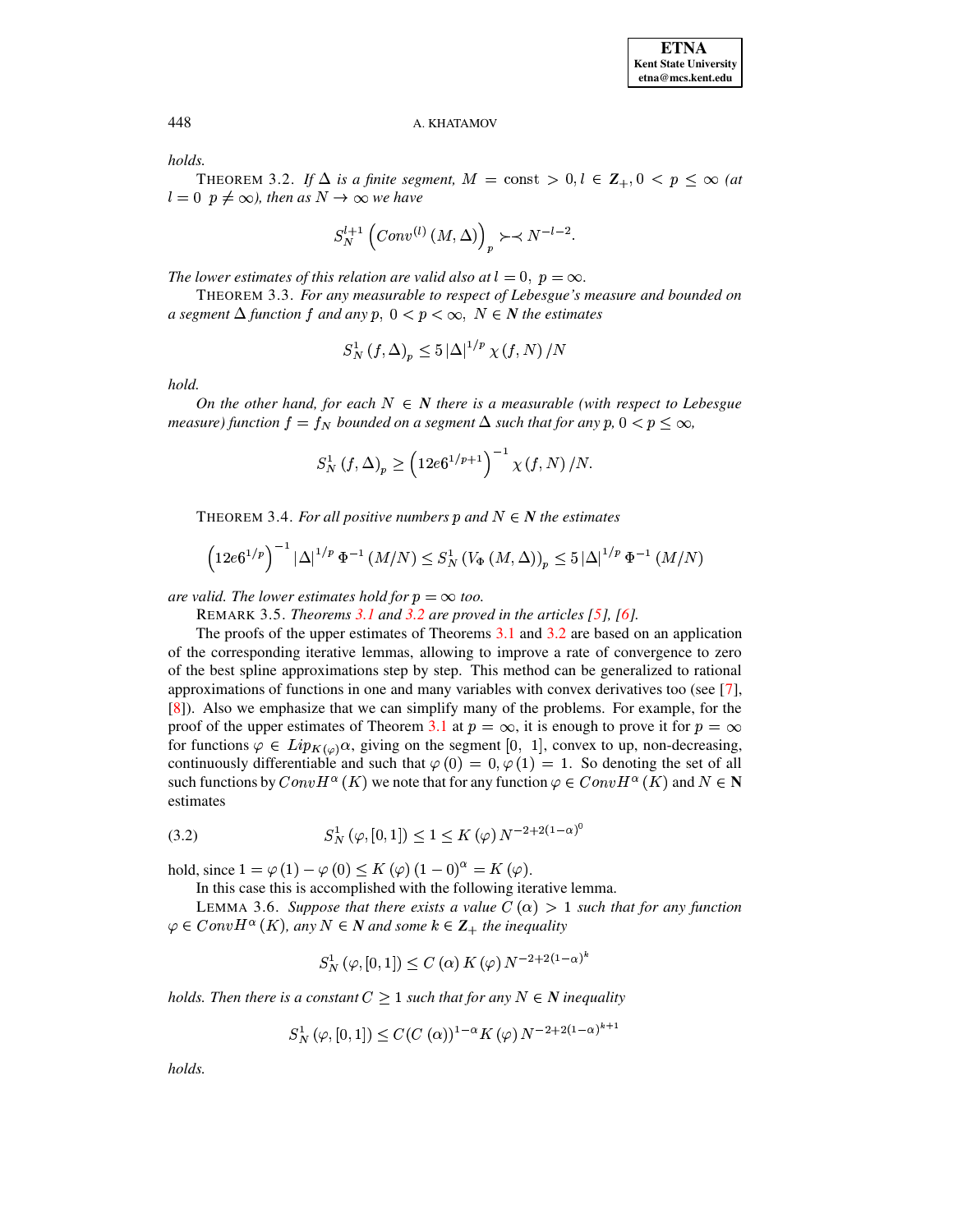### A. KHATAMOV

<span id="page-2-0"></span>holds.

THEOREM 3.2. If  $\Delta$  is a finite segment,  $M = \text{const} > 0, l \in \mathbb{Z}_+, 0 < p \leq \infty$  (at  $l = 0$   $p \neq \infty$ ), then as  $N \rightarrow \infty$  we have

$$
S_N^{l+1}\left( Conv^{(l)}\left( M, \Delta \right) \right)_p \succ \prec N^{-l-2}
$$

<span id="page-2-3"></span>The lower estimates of this relation are valid also at  $l = 0$ ,  $p = \infty$ .

THEOREM 3.3. For any measurable to respect of Lebesgue's measure and bounded on a segment  $\Delta$  function f and any p,  $0 < p < \infty$ ,  $N \in N$  the estimates

$$
S_N^1(f, \Delta)_p \le 5 \left| \Delta \right|^{1/p} \chi(f, N) / N
$$

hold.

On the other hand, for each  $N \in N$  there is a measurable (with respect to Lebesgue measure) function  $f = f_N$  bounded on a segment  $\Delta$  such that for any p,  $0 < p < \infty$ ,

$$
S_N^1(f,\Delta)_p \ge \left(12e^{(1/p+1)}\right)^{-1} \chi(f,N)/N.
$$

<span id="page-2-4"></span>THEOREM 3.4. For all positive numbers p and  $N \in N$  the estimates

$$
\left(12e6^{1/p}\right)^{-1}\left|\Delta\right|^{1/p}\Phi^{-1}\left(M/N\right)\leq S_{N}^{1}\left(V_{\Phi}\left(M,\Delta\right)\right)_{p}\leq5\left|\Delta\right|^{1/p}\Phi^{-1}\left(M/N\right)
$$

are valid. The lower estimates hold for  $p = \infty$  too.

REMARK 3.5. Theorems  $3.1$  and  $3.2$  are proved in the articles [5], [6].

The proofs of the upper estimates of Theorems 3.1 and 3.2 are based on an application of the corresponding iterative lemmas, allowing to improve a rate of convergence to zero of the best spline approximations step by step. This method can be generalized to rational approximations of functions in one and many variables with convex derivatives too (see  $[7]$ , [8]). Also we emphasize that we can simplify many of the problems. For example, for the proof of the upper estimates of Theorem 3.1 at  $p = \infty$ , it is enough to prove it for  $p = \infty$ for functions  $\varphi \in Lip_{K(\varphi)}\alpha$ , giving on the segment [0, 1], convex to up, non-decreasing, continuously differentiable and such that  $\varphi(0) = 0, \varphi(1) = 1$ . So denoting the set of all such functions by  $ConvH^{\alpha}(K)$  we note that for any function  $\varphi \in ConvH^{\alpha}(K)$  and  $N \in \mathbb{N}$ estimates

<span id="page-2-2"></span>(3.2) 
$$
S_N^1(\varphi, [0, 1]) \le 1 \le K(\varphi) N^{-2 + 2(1 - \alpha)^0}
$$

hold, since  $1 = \varphi(1) - \varphi(0) \le K(\varphi)(1 - 0)^{\alpha} = K(\varphi)$ .

In this case this is accomplished with the following iterative lemma.

<span id="page-2-1"></span>LEMMA 3.6. Suppose that there exists a value  $C(\alpha) > 1$  such that for any function  $\varphi \in Conv H^{\alpha}(K)$ , any  $N \in N$  and some  $k \in \mathbb{Z}_{+}$  the inequality

$$
S_N^1(\varphi, [0, 1]) \le C(\alpha) K(\varphi) N^{-2+2(1-\alpha)^k}
$$

holds. Then there is a constant  $C > 1$  such that for any  $N \in \mathbb{N}$  inequality

$$
S_N^1(\varphi, [0, 1]) \le C(C(\alpha))^{1-\alpha} K(\varphi) N^{-2+2(1-\alpha)^{k+1}}
$$

holds.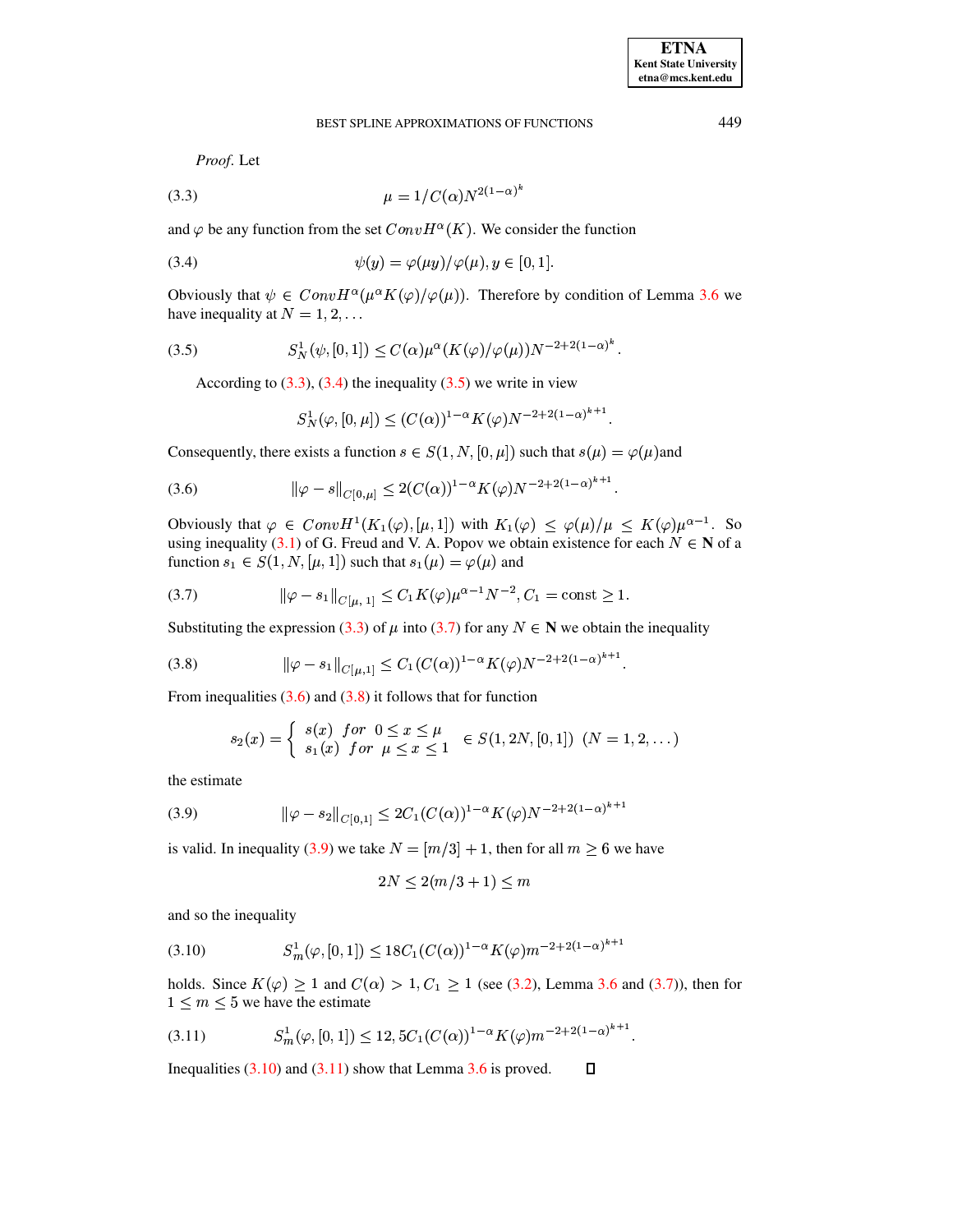Proof. Let

<span id="page-3-0"></span>(3.3) 
$$
\mu = 1/C(\alpha)N^{2(1-\alpha)^k}
$$

and  $\varphi$  be any function from the set  $ConvH^{\alpha}(K)$ . We consider the function

$$
\psi(y) = \varphi(\mu y) / \varphi(\mu), y \in [0, 1].
$$

<span id="page-3-2"></span>Obviously that  $\psi \in Conv H^{\alpha}(\mu^{\alpha} K(\varphi)/\varphi(\mu))$ . Therefore by condition of Lemma 3.6 we have inequality at  $N = 1, 2, \ldots$ 

$$
(3.5) \tS_N^1(\psi, [0, 1]) \le C(\alpha) \mu^{\alpha} (K(\varphi) / \varphi(\mu)) N^{-2 + 2(1 - \alpha)^{\kappa}}
$$

According to  $(3.3)$ ,  $(3.4)$  the inequality  $(3.5)$  we write in view

<span id="page-3-4"></span><span id="page-3-3"></span><span id="page-3-1"></span>
$$
S_N^1(\varphi, [0, \mu]) \le (C(\alpha))^{1-\alpha} K(\varphi) N^{-2+2(1-\alpha)^{k+1}}
$$

Consequently, there exists a function  $s \in S(1, N, [0, \mu])$  such that  $s(\mu) = \varphi(\mu)$  and

(3.6) 
$$
\|\varphi - s\|_{C[0,\mu]} \le 2(C(\alpha))^{1-\alpha} K(\varphi) N^{-2+2(1-\alpha)^{k+1}}
$$

Obviously that  $\varphi \in Conv H^1(K_1(\varphi), [\mu, 1])$  with  $K_1(\varphi) \leq \varphi(\mu)/\mu \leq K(\varphi)\mu^{\alpha-1}$ . So using inequality (3.1) of G. Freud and V. A. Popov we obtain existence for each  $N \in \mathbb{N}$  of a function  $s_1 \in S(1, N, [\mu, 1])$  such that  $s_1(\mu) = \varphi(\mu)$  and

(3.7) 
$$
\|\varphi - s_1\|_{C[\mu, 1]} \le C_1 K(\varphi) \mu^{\alpha - 1} N^{-2}, C_1 = \text{const} \ge 1.
$$

Substituting the expression (3.3) of  $\mu$  into (3.7) for any  $N \in \mathbb{N}$  we obtain the inequality

$$
(3.8) \t\t ||\varphi - s_1||_{C[\mu,1]} \leq C_1 (C(\alpha))^{1-\alpha} K(\varphi) N^{-2+2(1-\alpha)^{k+1}}.
$$

From inequalities  $(3.6)$  and  $(3.8)$  it follows that for function

$$
s_2(x) = \begin{cases} s(x) \text{ for } 0 \le x \le \mu \\ s_1(x) \text{ for } \mu \le x \le 1 \end{cases} \in S(1, 2N, [0, 1]) \text{ } (N = 1, 2, ...)
$$

<span id="page-3-6"></span>the estimate

(3.9) 
$$
\|\varphi - s_2\|_{C[0,1]} \leq 2C_1(C(\alpha))^{1-\alpha} K(\varphi) N^{-2+2(1-\alpha)^{k+1}}
$$

is valid. In inequality (3.9) we take  $N = [m/3] + 1$ , then for all  $m > 6$  we have

<span id="page-3-5"></span>
$$
2N \le 2(m/3 + 1) \le m
$$

<span id="page-3-7"></span>and so the inequality

$$
(3.10) \tS_m^1(\varphi, [0, 1]) \le 18C_1(C(\alpha))^{1-\alpha} K(\varphi) m^{-2+2(1-\alpha)^{k+1}}
$$

<span id="page-3-8"></span>holds. Since  $K(\varphi) \ge 1$  and  $C(\alpha) > 1, C_1 \ge 1$  (see (3.2), Lemma 3.6 and (3.7)), then for  $1 \leq m \leq 5$  we have the estimate

$$
(3.11) \tSm1(\varphi, [0,1]) \le 12, 5C1(C(\alpha))^{1-\alpha} K(\varphi) m^{-2+2(1-\alpha)^{k+1}}.
$$

Inequalities  $(3.10)$  and  $(3.11)$  show that Lemma 3.6 is proved.  $\Box$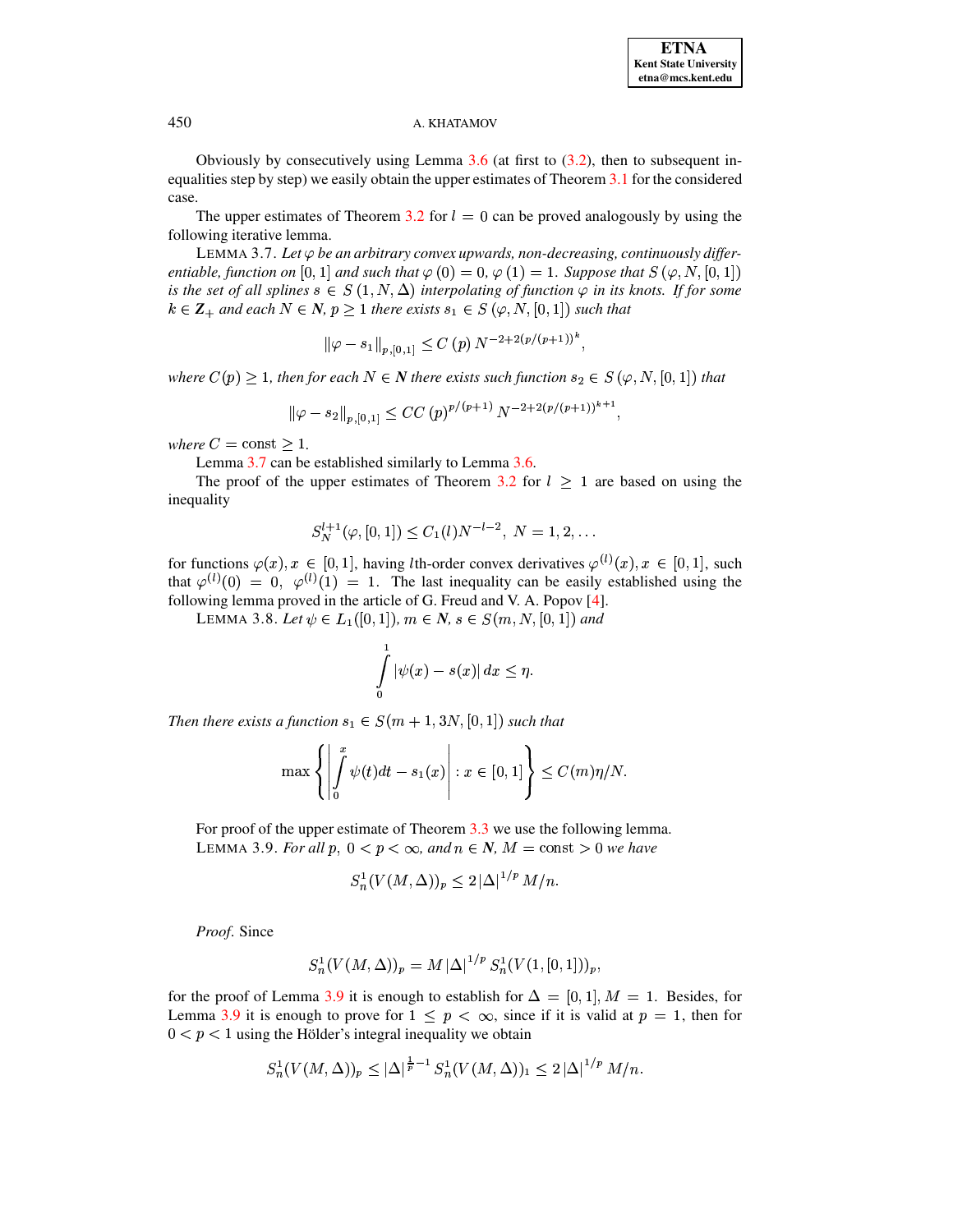### A. KHATAMOV

Obviously by consecutively using Lemma  $3.6$  (at first to  $(3.2)$ , then to subsequent inequalities step by step) we easily obtain the upper estimates of Theorem 3.1 for the considered case.

<span id="page-4-0"></span>The upper estimates of Theorem 3.2 for  $l = 0$  can be proved analogously by using the following iterative lemma.

LEMMA 3.7. Let  $\varphi$  be an arbitrary convex upwards, non-decreasing, continuously differentiable, function on [0, 1] and such that  $\varphi(0) = 0$ ,  $\varphi(1) = 1$ . Suppose that  $S(\varphi, N, [0, 1])$ is the set of all splines  $s \in S(1, N, \Delta)$  interpolating of function  $\varphi$  in its knots. If for some  $k \in \mathbb{Z}_+$  and each  $N \in \mathbb{N}$ ,  $p > 1$  there exists  $s_1 \in S(\varphi, N, [0, 1])$  such that

$$
\left\|\varphi - s_1\right\|_{p,[0,1]} \le C(p) \, N^{-2+2(p/(p+1))^k}.
$$

where  $C(p) \geq 1$ , then for each  $N \in \mathbb{N}$  there exists such function  $s_2 \in S(\varphi, N, [0, 1])$  that

$$
\|\varphi - s_2\|_{p,[0,1]} \le CC\left(p\right)^{p/(p+1)} N^{-2+2(p/(p+1))^{k+1}},
$$

where  $C = \text{const} \geq 1$ .

Lemma 3.7 can be established similarly to Lemma 3.6.

The proof of the upper estimates of Theorem 3.2 for  $l \ge 1$  are based on using the inequality

$$
S_N^{l+1}(\varphi,[0,1])\le C_1(l)N^{-l-2},\ N=1,2,\ldots
$$

for functions  $\varphi(x), x \in [0, 1]$ , having *l*th-order convex derivatives  $\varphi^{(l)}(x), x \in [0, 1]$ , such that  $\varphi^{(l)}(0) = 0$ ,  $\varphi^{(l)}(1) = 1$ . The last inequality can be easily established using the following lemma proved in the article of G. Freud and V. A. Popov [4].

LEMMA 3.8. Let  $\psi \in L_1([0,1])$ ,  $m \in N$ ,  $s \in S(m, N, [0,1])$  and

$$
\int\limits_0^1 |\psi(x)-s(x)|\,dx\leq \eta.
$$

Then there exists a function  $s_1 \in S(m+1, 3N, [0, 1])$  such that

$$
\max\left\{\left|\int\limits_{0}^{x}\psi(t)dt - s_1(x)\right| : x \in [0,1]\right\} \le C(m)\eta/N.
$$

<span id="page-4-1"></span>For proof of the upper estimate of Theorem  $3.3$  we use the following lemma. LEMMA 3.9. For all p,  $0 < p < \infty$ , and  $n \in N$ ,  $M = \text{const} > 0$  we have

$$
S_n^1(V(M,\Delta))_p \leq 2 |\Delta|^{1/p} M/n.
$$

Proof. Since

$$
S_n^1(V(M,\Delta))_p = M |\Delta|^{1/p} S_n^1(V(1,[0,1]))_p
$$

for the proof of Lemma 3.9 it is enough to establish for  $\Delta = [0, 1], M = 1$ . Besides, for Lemma 3.9 it is enough to prove for  $1 \leq p < \infty$ , since if it is valid at  $p = 1$ , then for  $0 < p < 1$  using the Hölder's integral inequality we obtain

$$
S_n^1(V(M,\Delta))_p \leq |\Delta|^{\frac{1}{p}-1} S_n^1(V(M,\Delta))_1 \leq 2 |\Delta|^{1/p} M/n.
$$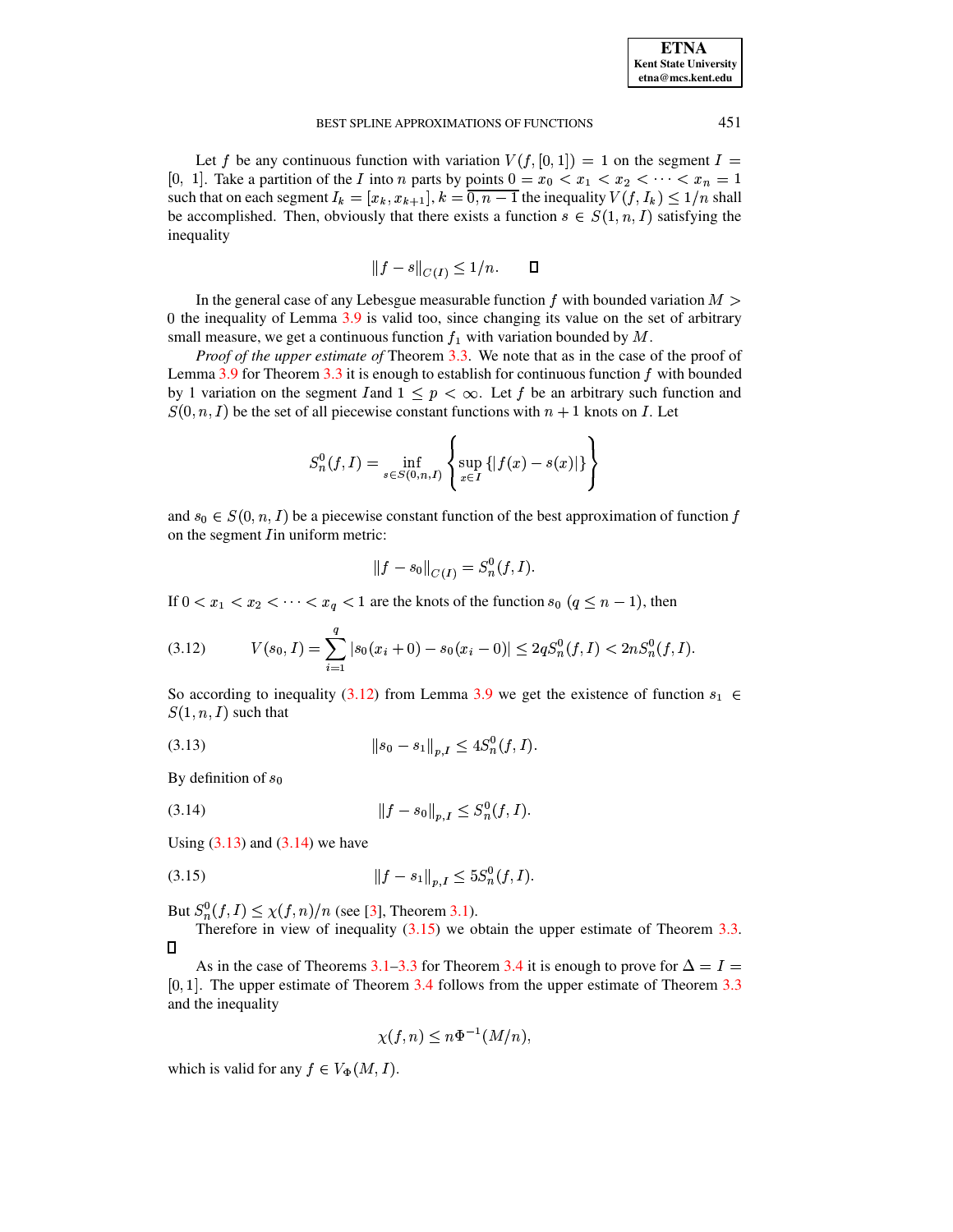Let f be any continuous function with variation  $V(f, [0, 1]) = 1$  on the segment  $I =$ [0, 1]. Take a partition of the *I* into *n* parts by points  $0 = x_0 < x_1 < x_2 < \cdots < x_n = 1$ such that on each segment  $I_k = [x_k, x_{k+1}], k = \overline{0, n-1}$  the inequality  $V(f, I_k) \leq 1/n$  shall be accomplished. Then, obviously that there exists a function  $s \in S(1, n, I)$  satisfying the inequality

$$
||f - s||_{C(I)} \le 1/n. \qquad \Box
$$

In the general case of any Lebesgue measurable function f with bounded variation  $M >$ 0 the inequality of Lemma 3.9 is valid too, since changing its value on the set of arbitrary small measure, we get a continuous function  $f_1$  with variation bounded by M.

*Proof of the upper estimate of Theorem 3.3.* We note that as in the case of the proof of Lemma 3.9 for Theorem 3.3 it is enough to establish for continuous function  $f$  with bounded by 1 variation on the segment *I* and  $1 \leq p < \infty$ . Let *f* be an arbitrary such function and  $S(0, n, I)$  be the set of all piecewise constant functions with  $n + 1$  knots on I. Let

$$
S_n^0(f, I) = \inf_{s \in S(0, n, I)} \left\{ \sup_{x \in I} \left\{ |f(x) - s(x)| \right\} \right\}
$$

and  $s_0 \in S(0, n, I)$  be a piecewise constant function of the best approximation of function f on the segment *I* in uniform metric:

<span id="page-5-0"></span>
$$
||f - s_0||_{C(I)} = S_n^0(f, I).
$$

If  $0 < x_1 < x_2 < \cdots < x_q < 1$  are the knots of the function  $s_0$   $(q \leq n-1)$ , then

$$
(3.12) \tV(s_0, I) = \sum_{i=1}^{q} |s_0(x_i + 0) - s_0(x_i - 0)| \leq 2qS_n^0(f, I) < 2nS_n^0(f, I)
$$

<span id="page-5-1"></span>So according to inequality (3.12) from Lemma 3.9 we get the existence of function  $s_1 \in$  $S(1, n, I)$  such that

$$
(3.13) \t\t\t ||s_0 - s_1||_{p,I} \le 4S_n^0(f,I)
$$

<span id="page-5-2"></span>By definition of  $s_0$ 

$$
(3.14) \t\t\t\t||f - s_0||_{p, I} \leq S_n^0(f, I).
$$

<span id="page-5-3"></span>Using  $(3.13)$  and  $(3.14)$  we have

$$
(3.15) \t\t\t\t||f - s_1||_{p,I} \le 5S_n^0(f,I).
$$

But  $S_n^0(f, I) \leq \chi(f, n)/n$  (see [3], Theorem 3.1).

Therefore in view of inequality  $(3.15)$  we obtain the upper estimate of Theorem 3.3.  $\Box$ 

As in the case of Theorems 3.1–3.3 for Theorem 3.4 it is enough to prove for  $\Delta = I$  $[0, 1]$ . The upper estimate of Theorem 3.4 follows from the upper estimate of Theorem 3.3 and the inequality

$$
\chi(f, n) \le n\Phi^{-1}(M/n),
$$

which is valid for any  $f \in V_{\Phi}(M, I)$ .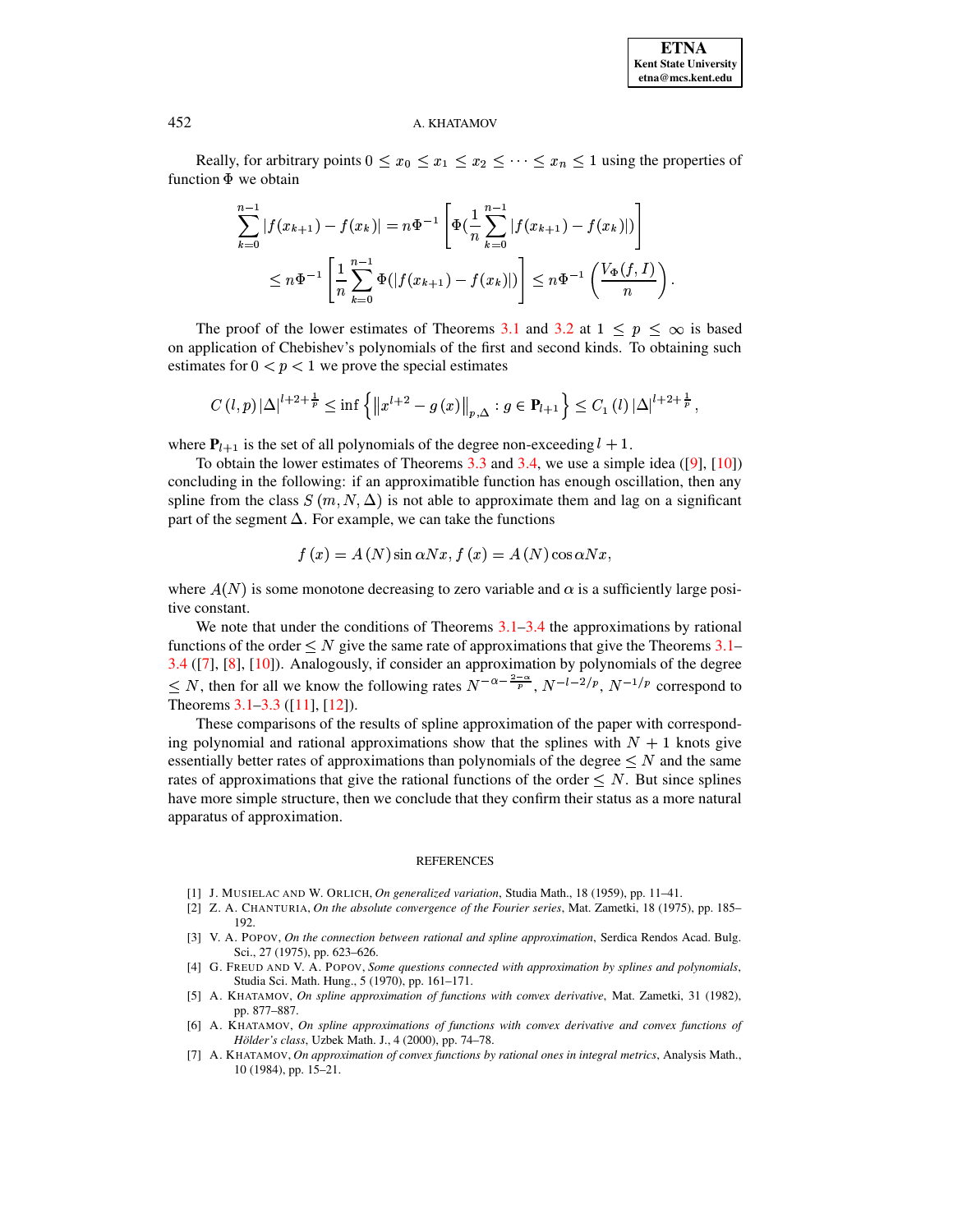#### A. KHATAMOV

Really, for arbitrary points  $0 \le x_0 \le x_1 \le x_2 \le \cdots \le x_n \le 1$  using the properties of function  $\Phi$  we obtain

$$
\sum_{k=0}^{n-1} |f(x_{k+1}) - f(x_k)| = n\Phi^{-1} \left[ \Phi\left(\frac{1}{n} \sum_{k=0}^{n-1} |f(x_{k+1}) - f(x_k)|\right) \right]
$$
  

$$
\leq n\Phi^{-1} \left[ \frac{1}{n} \sum_{k=0}^{n-1} \Phi(|f(x_{k+1}) - f(x_k)|) \right] \leq n\Phi^{-1} \left( \frac{V_{\Phi}(f, I)}{n} \right)
$$

The proof of the lower estimates of Theorems 3.1 and 3.2 at  $1 \le p \le \infty$  is based on application of Chebishev's polynomials of the first and second kinds. To obtaining such estimates for  $0 < p < 1$  we prove the special estimates

$$
C(l,p)|\Delta|^{l+2+\frac{1}{p}} \leq \inf \left\{ ||x^{l+2}-g(x)||_{p,\Delta} : g \in \mathbf{P}_{l+1} \right\} \leq C_1 (l) |\Delta|^{l+2+\frac{1}{p}},
$$

where  $P_{l+1}$  is the set of all polynomials of the degree non-exceeding  $l + 1$ .

To obtain the lower estimates of Theorems 3.3 and 3.4, we use a simple idea  $([9], [10])$ concluding in the following: if an approximatible function has enough oscillation, then any spline from the class  $S(m, N, \Delta)$  is not able to approximate them and lag on a significant part of the segment  $\Delta$ . For example, we can take the functions

$$
f(x) = A(N)\sin\alpha Nx, f(x) = A(N)\cos\alpha Nx,
$$

where  $A(N)$  is some monotone decreasing to zero variable and  $\alpha$  is a sufficiently large positive constant.

We note that under the conditions of Theorems  $3.1-3.4$  the approximations by rational functions of the order  $\leq N$  give the same rate of approximations that give the Theorems 3.1– 3.4 ([7], [8], [10]). Analogously, if consider an approximation by polynomials of the degree  $\leq N$ , then for all we know the following rates  $N^{-\alpha-\frac{2-\alpha}{p}}$ ,  $N^{-l-2/p}$ ,  $N^{-1/p}$  correspond to Theorems  $3.1-3.3$  ([11], [12]).

These comparisons of the results of spline approximation of the paper with corresponding polynomial and rational approximations show that the splines with  $N + 1$  knots give essentially better rates of approximations than polynomials of the degree  $\leq N$  and the same rates of approximations that give the rational functions of the order  $\leq N$ . But since splines have more simple structure, then we conclude that they confirm their status as a more natural apparatus of approximation.

#### **REFERENCES**

- <span id="page-6-1"></span><span id="page-6-0"></span>[1] J. MUSIELAC AND W. ORLICH, On generalized variation, Studia Math., 18 (1959), pp. 11–41.
- <span id="page-6-2"></span>[2] Z. A. CHANTURIA, On the absolute convergence of the Fourier series, Mat. Zametki, 18 (1975), pp. 185– 192.
- [3] V. A. POPOV, On the connection between rational and spline approximation, Serdica Rendos Acad. Bulg. Sci., 27 (1975), pp. 623-626.
- <span id="page-6-3"></span>[4] G. FREUD AND V. A. POPOV, Some questions connected with approximation by splines and polynomials, Studia Sci. Math. Hung., 5 (1970), pp. 161-171.
- <span id="page-6-4"></span>[5] A. KHATAMOV, On spline approximation of functions with convex derivative, Mat. Zametki, 31 (1982), pp. 877-887.
- <span id="page-6-5"></span>[6] A. KHATAMOV, On spline approximations of functions with convex derivative and convex functions of Hölder's class, Uzbek Math. J., 4 (2000), pp. 74–78.
- <span id="page-6-6"></span>[7] A. KHATAMOV, On approximation of convex functions by rational ones in integral metrics, Analysis Math., 10 (1984), pp. 15-21.